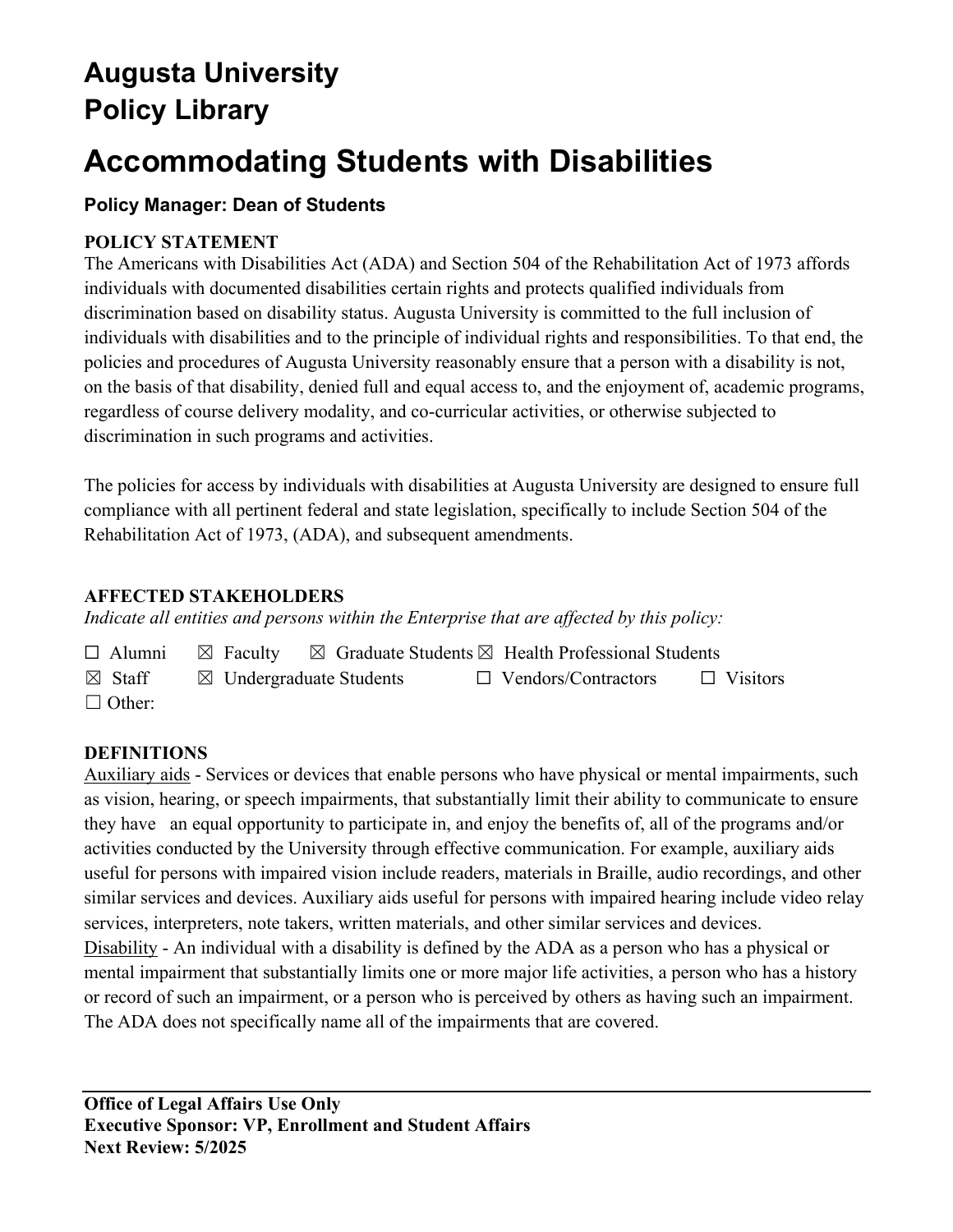## **Augusta University Policy Library**

# **Accommodating Students with Disabilities**

## **Policy Manager: Dean of Students**

## **POLICY STATEMENT**

The Americans with Disabilities Act (ADA) and Section 504 of the Rehabilitation Act of 1973 affords individuals with documented disabilities certain rights and protects qualified individuals from discrimination based on disability status. Augusta University is committed to the full inclusion of individuals with disabilities and to the principle of individual rights and responsibilities. To that end, the policies and procedures of Augusta University reasonably ensure that a person with a disability is not, on the basis of that disability, denied full and equal access to, and the enjoyment of, academic programs, regardless of course delivery modality, and co-curricular activities, or otherwise subjected to discrimination in such programs and activities.

The policies for access by individuals with disabilities at Augusta University are designed to ensure full compliance with all pertinent federal and state legislation, specifically to include Section 504 of the Rehabilitation Act of 1973, (ADA), and subsequent amendments.

## **AFFECTED STAKEHOLDERS**

*Indicate all entities and persons within the Enterprise that are affected by this policy:* 

| $\Box$ Alumni     |                                    | $\boxtimes$ Faculty $\boxtimes$ Graduate Students $\boxtimes$ Health Professional Students |                 |
|-------------------|------------------------------------|--------------------------------------------------------------------------------------------|-----------------|
| $\boxtimes$ Staff | $\boxtimes$ Undergraduate Students | $\Box$ Vendors/Contractors                                                                 | $\Box$ Visitors |
| $\Box$ Other:     |                                    |                                                                                            |                 |

## **DEFINITIONS**

Auxiliary aids - Services or devices that enable persons who have physical or mental impairments, such as vision, hearing, or speech impairments, that substantially limit their ability to communicate to ensure they have an equal opportunity to participate in, and enjoy the benefits of, all of the programs and/or activities conducted by the University through effective communication. For example, auxiliary aids useful for persons with impaired vision include readers, materials in Braille, audio recordings, and other similar services and devices. Auxiliary aids useful for persons with impaired hearing include video relay services, interpreters, note takers, written materials, and other similar services and devices. Disability - An individual with a disability is defined by the ADA as a person who has a physical or mental impairment that substantially limits one or more major life activities, a person who has a history or record of such an impairment, or a person who is perceived by others as having such an impairment. The ADA does not specifically name all of the impairments that are covered.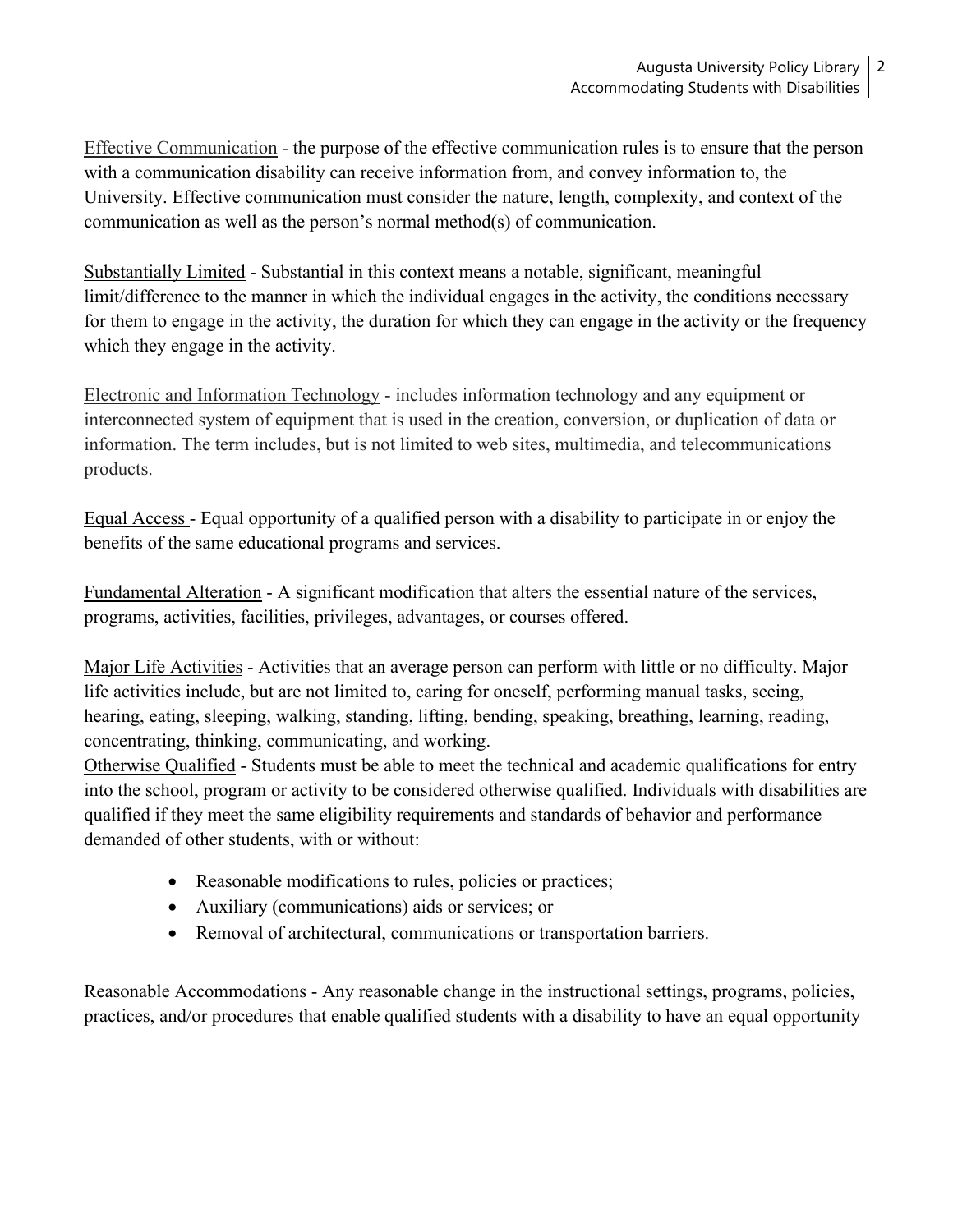Effective Communication - the purpose of the effective communication rules is to ensure that the person with a communication disability can receive information from, and convey information to, the University. Effective communication must consider the nature, length, complexity, and context of the communication as well as the person's normal method(s) of communication.

Substantially Limited - Substantial in this context means a notable, significant, meaningful limit/difference to the manner in which the individual engages in the activity, the conditions necessary for them to engage in the activity, the duration for which they can engage in the activity or the frequency which they engage in the activity.

Electronic and Information Technology - includes information technology and any equipment or interconnected system of equipment that is used in the creation, conversion, or duplication of data or information. The term includes, but is not limited to web sites, multimedia, and telecommunications products.

Equal Access - Equal opportunity of a qualified person with a disability to participate in or enjoy the benefits of the same educational programs and services.

Fundamental Alteration - A significant modification that alters the essential nature of the services, programs, activities, facilities, privileges, advantages, or courses offered.

Major Life Activities - Activities that an average person can perform with little or no difficulty. Major life activities include, but are not limited to, caring for oneself, performing manual tasks, seeing, hearing, eating, sleeping, walking, standing, lifting, bending, speaking, breathing, learning, reading, concentrating, thinking, communicating, and working.

Otherwise Qualified - Students must be able to meet the technical and academic qualifications for entry into the school, program or activity to be considered otherwise qualified. Individuals with disabilities are qualified if they meet the same eligibility requirements and standards of behavior and performance demanded of other students, with or without:

- Reasonable modifications to rules, policies or practices;
- Auxiliary (communications) aids or services; or
- Removal of architectural, communications or transportation barriers.

Reasonable Accommodations - Any reasonable change in the instructional settings, programs, policies, practices, and/or procedures that enable qualified students with a disability to have an equal opportunity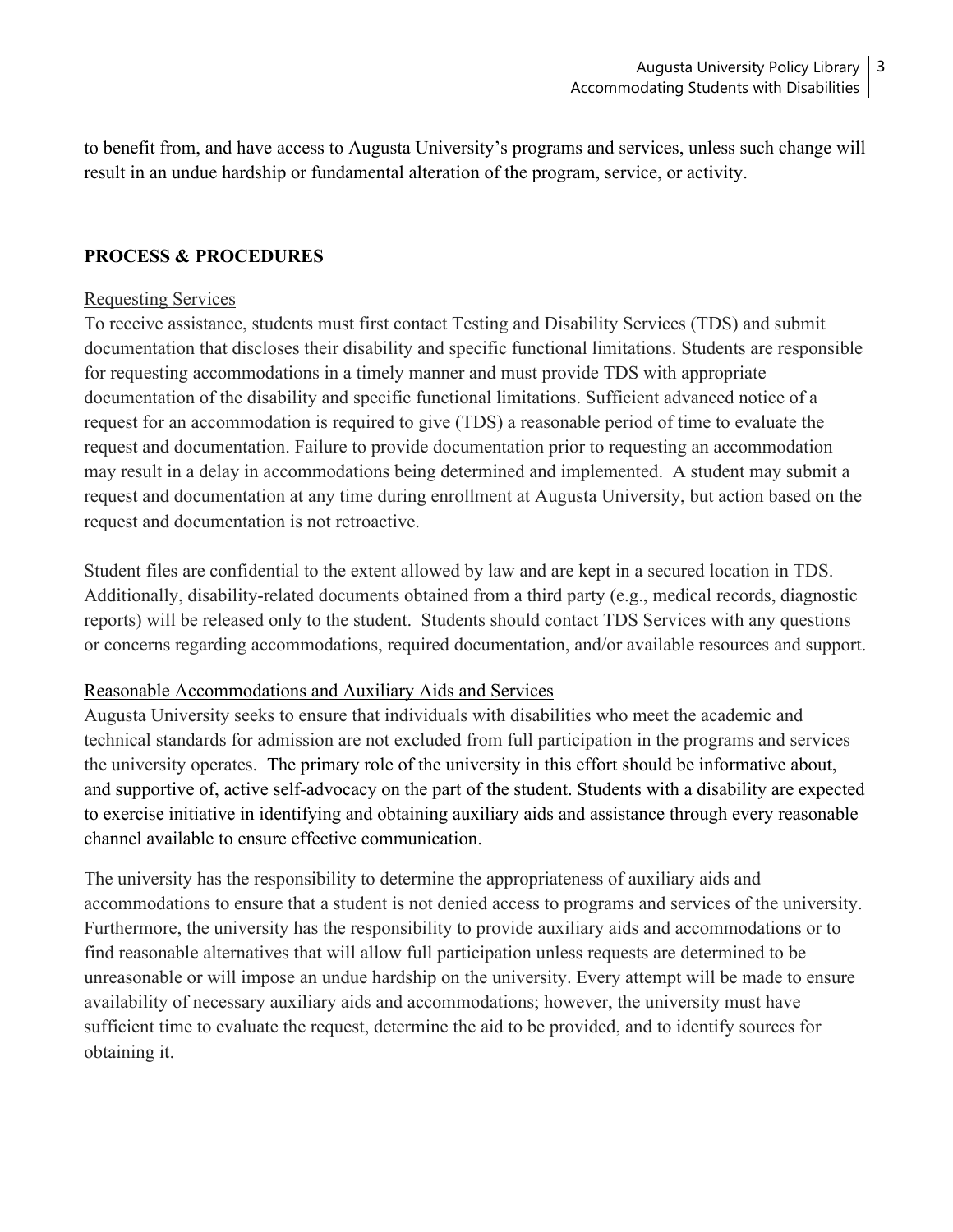to benefit from, and have access to Augusta University's programs and services, unless such change will result in an undue hardship or fundamental alteration of the program, service, or activity.

#### **PROCESS & PROCEDURES**

#### Requesting Services

To receive assistance, students must first contact Testing and Disability Services (TDS) and submit documentation that discloses their disability and specific functional limitations. Students are responsible for requesting accommodations in a timely manner and must provide TDS with appropriate documentation of the disability and specific functional limitations. Sufficient advanced notice of a request for an accommodation is required to give (TDS) a reasonable period of time to evaluate the request and documentation. Failure to provide documentation prior to requesting an accommodation may result in a delay in accommodations being determined and implemented. A student may submit a request and documentation at any time during enrollment at Augusta University, but action based on the request and documentation is not retroactive.

Student files are confidential to the extent allowed by law and are kept in a secured location in TDS. Additionally, disability-related documents obtained from a third party (e.g., medical records, diagnostic reports) will be released only to the student. Students should contact TDS Services with any questions or concerns regarding accommodations, required documentation, and/or available resources and support.

#### Reasonable Accommodations and Auxiliary Aids and Services

Augusta University seeks to ensure that individuals with disabilities who meet the academic and technical standards for admission are not excluded from full participation in the programs and services the university operates. The primary role of the university in this effort should be informative about, and supportive of, active self-advocacy on the part of the student. Students with a disability are expected to exercise initiative in identifying and obtaining auxiliary aids and assistance through every reasonable channel available to ensure effective communication.

The university has the responsibility to determine the appropriateness of auxiliary aids and accommodations to ensure that a student is not denied access to programs and services of the university. Furthermore, the university has the responsibility to provide auxiliary aids and accommodations or to find reasonable alternatives that will allow full participation unless requests are determined to be unreasonable or will impose an undue hardship on the university. Every attempt will be made to ensure availability of necessary auxiliary aids and accommodations; however, the university must have sufficient time to evaluate the request, determine the aid to be provided, and to identify sources for obtaining it.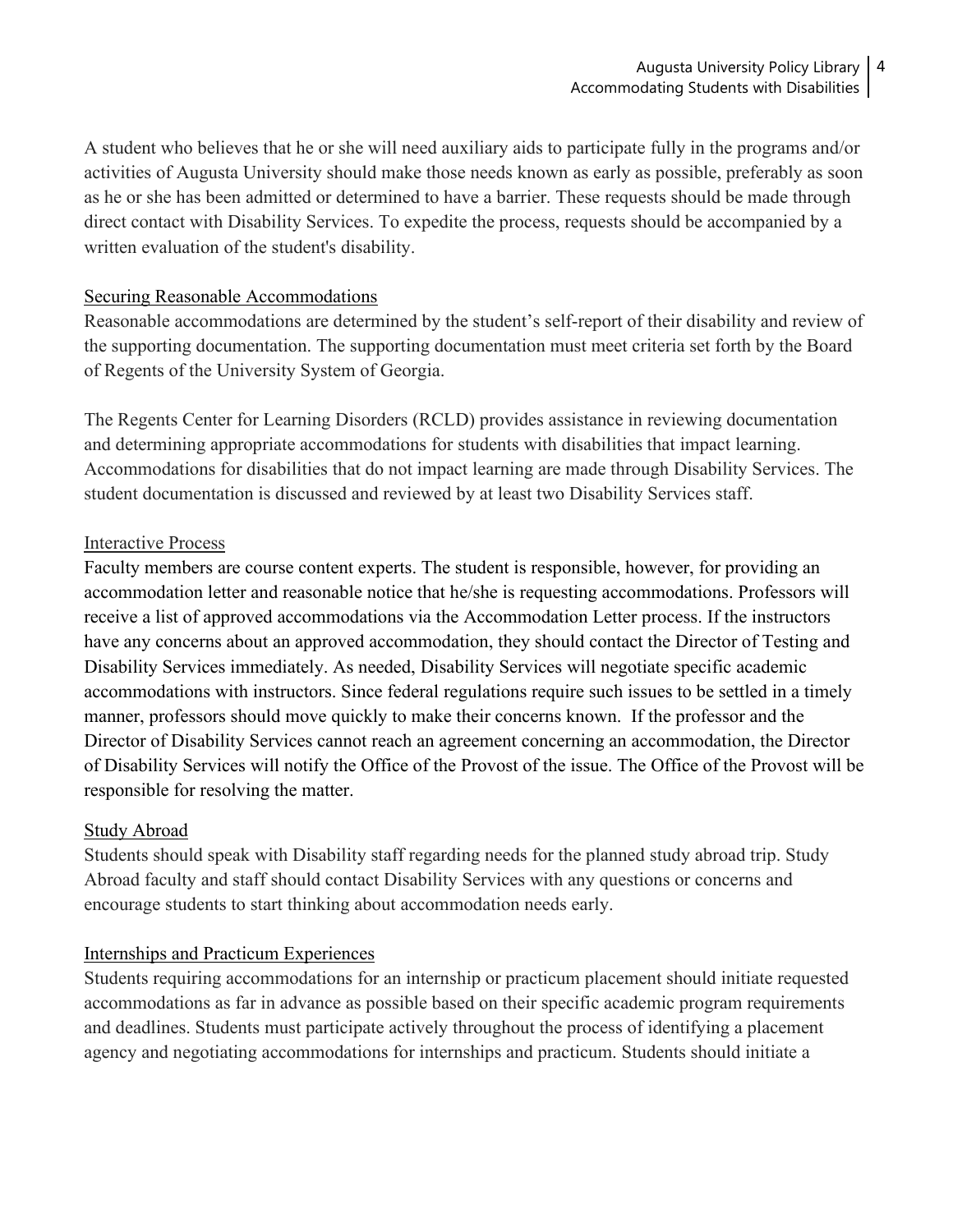A student who believes that he or she will need auxiliary aids to participate fully in the programs and/or activities of Augusta University should make those needs known as early as possible, preferably as soon as he or she has been admitted or determined to have a barrier. These requests should be made through direct contact with Disability Services. To expedite the process, requests should be accompanied by a written evaluation of the student's disability.

#### Securing Reasonable Accommodations

Reasonable accommodations are determined by the student's self-report of their disability and review of the supporting documentation. The supporting documentation must meet criteria set forth by the Board of Regents of the University System of Georgia.

The Regents Center for Learning Disorders (RCLD) provides assistance in reviewing documentation and determining appropriate accommodations for students with disabilities that impact learning. Accommodations for disabilities that do not impact learning are made through Disability Services. The student documentation is discussed and reviewed by at least two Disability Services staff.

#### Interactive Process

Faculty members are course content experts. The student is responsible, however, for providing an accommodation letter and reasonable notice that he/she is requesting accommodations. Professors will receive a list of approved accommodations via the Accommodation Letter process. If the instructors have any concerns about an approved accommodation, they should contact the Director of Testing and Disability Services immediately. As needed, Disability Services will negotiate specific academic accommodations with instructors. Since federal regulations require such issues to be settled in a timely manner, professors should move quickly to make their concerns known. If the professor and the Director of Disability Services cannot reach an agreement concerning an accommodation, the Director of Disability Services will notify the Office of the Provost of the issue. The Office of the Provost will be responsible for resolving the matter.

#### Study Abroad

Students should speak with Disability staff regarding needs for the planned study abroad trip. Study Abroad faculty and staff should contact Disability Services with any questions or concerns and encourage students to start thinking about accommodation needs early.

#### Internships and Practicum Experiences

Students requiring accommodations for an internship or practicum placement should initiate requested accommodations as far in advance as possible based on their specific academic program requirements and deadlines. Students must participate actively throughout the process of identifying a placement agency and negotiating accommodations for internships and practicum. Students should initiate a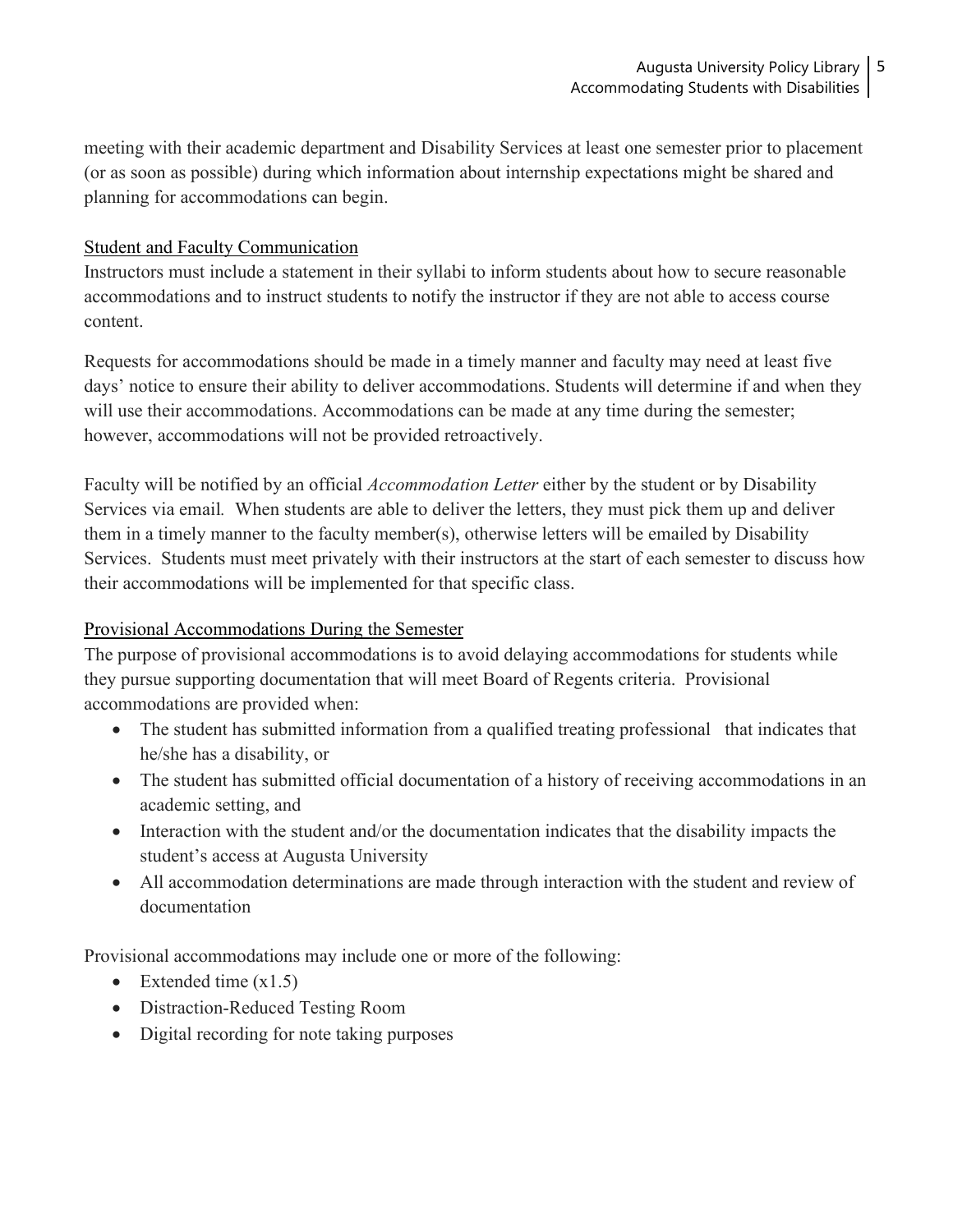meeting with their academic department and Disability Services at least one semester prior to placement (or as soon as possible) during which information about internship expectations might be shared and planning for accommodations can begin.

#### Student and Faculty Communication

Instructors must include a statement in their syllabi to inform students about how to secure reasonable accommodations and to instruct students to notify the instructor if they are not able to access course content.

Requests for accommodations should be made in a timely manner and faculty may need at least five days' notice to ensure their ability to deliver accommodations. Students will determine if and when they will use their accommodations. Accommodations can be made at any time during the semester; however, accommodations will not be provided retroactively.

Faculty will be notified by an official *Accommodation Letter* either by the student or by Disability Services via email*.* When students are able to deliver the letters, they must pick them up and deliver them in a timely manner to the faculty member(s), otherwise letters will be emailed by Disability Services. Students must meet privately with their instructors at the start of each semester to discuss how their accommodations will be implemented for that specific class.

#### Provisional Accommodations During the Semester

The purpose of provisional accommodations is to avoid delaying accommodations for students while they pursue supporting documentation that will meet Board of Regents criteria. Provisional accommodations are provided when:

- The student has submitted information from a qualified treating professional that indicates that he/she has a disability, or
- The student has submitted official documentation of a history of receiving accommodations in an academic setting, and
- Interaction with the student and/or the documentation indicates that the disability impacts the student's access at Augusta University
- All accommodation determinations are made through interaction with the student and review of documentation

Provisional accommodations may include one or more of the following:

- Extended time  $(x1.5)$
- Distraction-Reduced Testing Room
- Digital recording for note taking purposes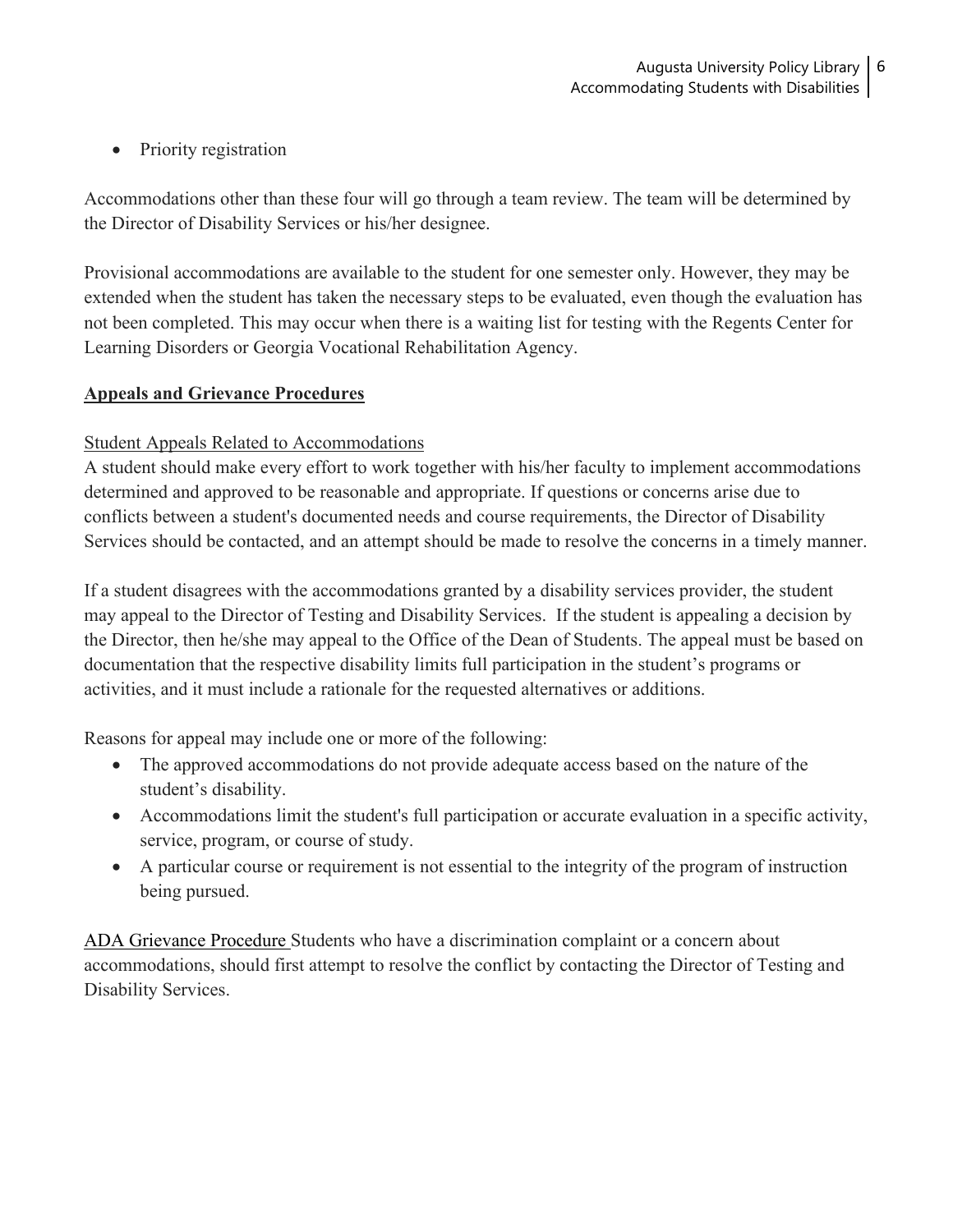• Priority registration

Accommodations other than these four will go through a team review. The team will be determined by the Director of Disability Services or his/her designee.

Provisional accommodations are available to the student for one semester only. However, they may be extended when the student has taken the necessary steps to be evaluated, even though the evaluation has not been completed. This may occur when there is a waiting list for testing with the Regents Center for Learning Disorders or Georgia Vocational Rehabilitation Agency.

### **Appeals and Grievance Procedures**

### Student Appeals Related to Accommodations

A student should make every effort to work together with his/her faculty to implement accommodations determined and approved to be reasonable and appropriate. If questions or concerns arise due to conflicts between a student's documented needs and course requirements, the Director of Disability Services should be contacted, and an attempt should be made to resolve the concerns in a timely manner.

If a student disagrees with the accommodations granted by a disability services provider, the student may appeal to the Director of Testing and Disability Services. If the student is appealing a decision by the Director, then he/she may appeal to the Office of the Dean of Students. The appeal must be based on documentation that the respective disability limits full participation in the student's programs or activities, and it must include a rationale for the requested alternatives or additions.

Reasons for appeal may include one or more of the following:

- The approved accommodations do not provide adequate access based on the nature of the student's disability.
- Accommodations limit the student's full participation or accurate evaluation in a specific activity, service, program, or course of study.
- A particular course or requirement is not essential to the integrity of the program of instruction being pursued.

ADA Grievance Procedure Students who have a discrimination complaint or a concern about accommodations, should first attempt to resolve the conflict by contacting the Director of Testing and Disability Services.